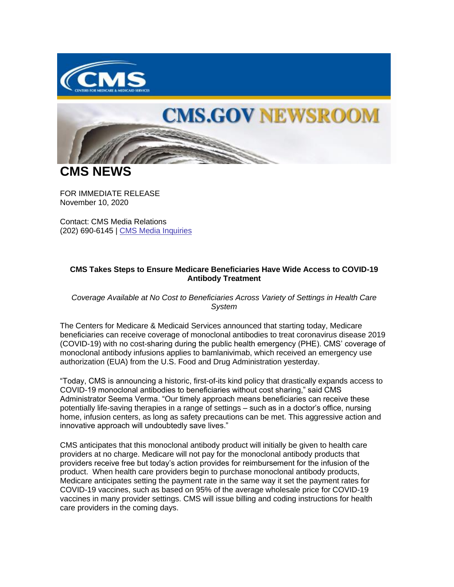

## **CMS.GOV NEWSROOM**

**CMS NEWS**

FOR IMMEDIATE RELEASE November 10, 2020

Contact: CMS Media Relations (202) 690-6145 | [CMS Media Inquiries](https://lnks.gd/l/eyJhbGciOiJIUzI1NiJ9.eyJidWxsZXRpbl9saW5rX2lkIjoxMDAsInVyaSI6ImJwMjpjbGljayIsImJ1bGxldGluX2lkIjoiMjAyMDExMTEuMzAyMjYxMDEiLCJ1cmwiOiJodHRwczovL3d3dy5jbXMuZ292L25ld3Nyb29tL21lZGlhLWlucXVpcmllcyJ9.bELRG7i5GbBytghqEWtP9TDjx16trnEArEPuJMU5upg/s/1086872215/br/88349996221-l)

## **CMS Takes Steps to Ensure Medicare Beneficiaries Have Wide Access to COVID-19 Antibody Treatment**

*Coverage Available at No Cost to Beneficiaries Across Variety of Settings in Health Care System* 

The Centers for Medicare & Medicaid Services announced that starting today, Medicare beneficiaries can receive coverage of monoclonal antibodies to treat coronavirus disease 2019 (COVID-19) with no cost-sharing during the public health emergency (PHE). CMS' coverage of monoclonal antibody infusions applies to bamlanivimab, which received an emergency use authorization (EUA) from the U.S. Food and Drug Administration yesterday.

"Today, CMS is announcing a historic, first-of-its kind policy that drastically expands access to COVID-19 monoclonal antibodies to beneficiaries without cost sharing," said CMS Administrator Seema Verma. "Our timely approach means beneficiaries can receive these potentially life-saving therapies in a range of settings – such as in a doctor's office, nursing home, infusion centers, as long as safety precautions can be met. This aggressive action and innovative approach will undoubtedly save lives."

CMS anticipates that this monoclonal antibody product will initially be given to health care providers at no charge. Medicare will not pay for the monoclonal antibody products that providers receive free but today's action provides for reimbursement for the infusion of the product. When health care providers begin to purchase monoclonal antibody products, Medicare anticipates setting the payment rate in the same way it set the payment rates for COVID-19 vaccines, such as based on 95% of the average wholesale price for COVID-19 vaccines in many provider settings. CMS will issue billing and coding instructions for health care providers in the coming days.